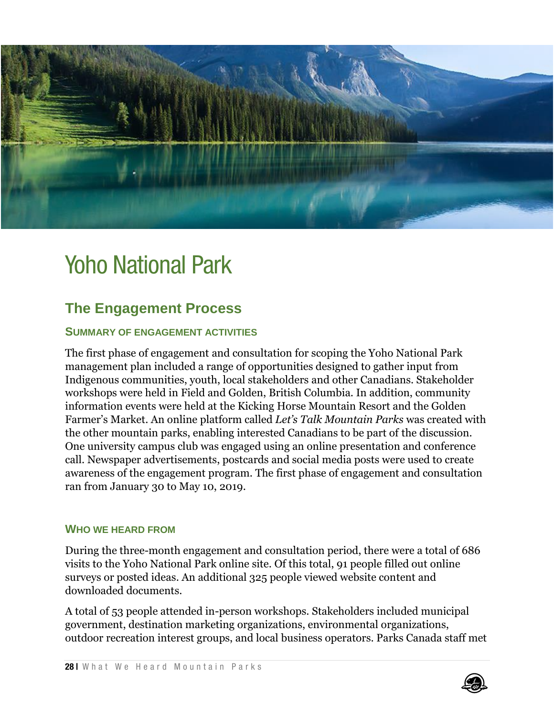

# Yoho National Park

# **The Engagement Process**

#### **SUMMARY OF ENGAGEMENT ACTIVITIES**

The first phase of engagement and consultation for scoping the Yoho National Park management plan included a range of opportunities designed to gather input from Indigenous communities, youth, local stakeholders and other Canadians. Stakeholder workshops were held in Field and Golden, British Columbia. In addition, community information events were held at the Kicking Horse Mountain Resort and the Golden Farmer's Market. An online platform called *Let's Talk Mountain Parks* was created with the other mountain parks, enabling interested Canadians to be part of the discussion. One university campus club was engaged using an online presentation and conference call. Newspaper advertisements, postcards and social media posts were used to create awareness of the engagement program. The first phase of engagement and consultation ran from January 30 to May 10, 2019.

#### **WHO WE HEARD FROM**

During the three-month engagement and consultation period, there were a total of 686 visits to the Yoho National Park online site. Of this total, 91 people filled out online surveys or posted ideas. An additional 325 people viewed website content and downloaded documents.

A total of 53 people attended in-person workshops. Stakeholders included municipal government, destination marketing organizations, environmental organizations, outdoor recreation interest groups, and local business operators. Parks Canada staff met

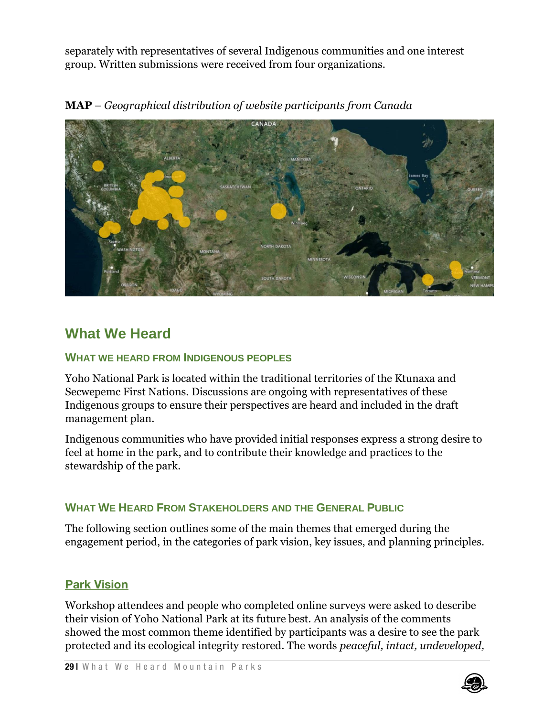separately with representatives of several Indigenous communities and one interest group. Written submissions were received from four organizations.

**MAP** – *Geographical distribution of website participants from Canada*



# **What We Heard**

#### **WHAT WE HEARD FROM INDIGENOUS PEOPLES**

Yoho National Park is located within the traditional territories of the Ktunaxa and Secwepemc First Nations. Discussions are ongoing with representatives of these Indigenous groups to ensure their perspectives are heard and included in the draft management plan.

Indigenous communities who have provided initial responses express a strong desire to feel at home in the park, and to contribute their knowledge and practices to the stewardship of the park.

# **WHAT WE HEARD FROM STAKEHOLDERS AND THE GENERAL PUBLIC**

The following section outlines some of the main themes that emerged during the engagement period, in the categories of park vision, key issues, and planning principles.

# **Park Vision**

Workshop attendees and people who completed online surveys were asked to describe their vision of Yoho National Park at its future best. An analysis of the comments showed the most common theme identified by participants was a desire to see the park protected and its ecological integrity restored. The words *peaceful, intact, undeveloped,* 

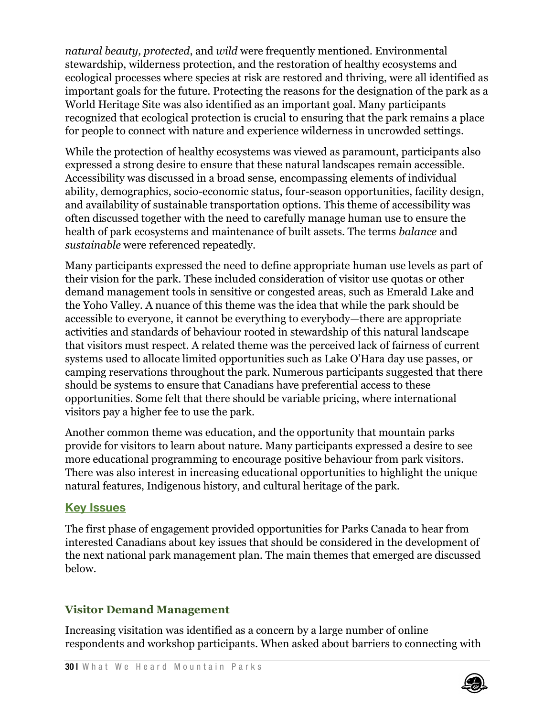*natural beauty, protected*, and *wild* were frequently mentioned. Environmental stewardship, wilderness protection, and the restoration of healthy ecosystems and ecological processes where species at risk are restored and thriving, were all identified as important goals for the future. Protecting the reasons for the designation of the park as a World Heritage Site was also identified as an important goal. Many participants recognized that ecological protection is crucial to ensuring that the park remains a place for people to connect with nature and experience wilderness in uncrowded settings.

While the protection of healthy ecosystems was viewed as paramount, participants also expressed a strong desire to ensure that these natural landscapes remain accessible. Accessibility was discussed in a broad sense, encompassing elements of individual ability, demographics, socio-economic status, four-season opportunities, facility design, and availability of sustainable transportation options. This theme of accessibility was often discussed together with the need to carefully manage human use to ensure the health of park ecosystems and maintenance of built assets. The terms *balance* and *sustainable* were referenced repeatedly.

Many participants expressed the need to define appropriate human use levels as part of their vision for the park. These included consideration of visitor use quotas or other demand management tools in sensitive or congested areas, such as Emerald Lake and the Yoho Valley. A nuance of this theme was the idea that while the park should be accessible to everyone, it cannot be everything to everybody—there are appropriate activities and standards of behaviour rooted in stewardship of this natural landscape that visitors must respect. A related theme was the perceived lack of fairness of current systems used to allocate limited opportunities such as Lake O'Hara day use passes, or camping reservations throughout the park. Numerous participants suggested that there should be systems to ensure that Canadians have preferential access to these opportunities. Some felt that there should be variable pricing, where international visitors pay a higher fee to use the park.

Another common theme was education, and the opportunity that mountain parks provide for visitors to learn about nature. Many participants expressed a desire to see more educational programming to encourage positive behaviour from park visitors. There was also interest in increasing educational opportunities to highlight the unique natural features, Indigenous history, and cultural heritage of the park.

# **Key Issues**

The first phase of engagement provided opportunities for Parks Canada to hear from interested Canadians about key issues that should be considered in the development of the next national park management plan. The main themes that emerged are discussed below.

# **Visitor Demand Management**

Increasing visitation was identified as a concern by a large number of online respondents and workshop participants. When asked about barriers to connecting with

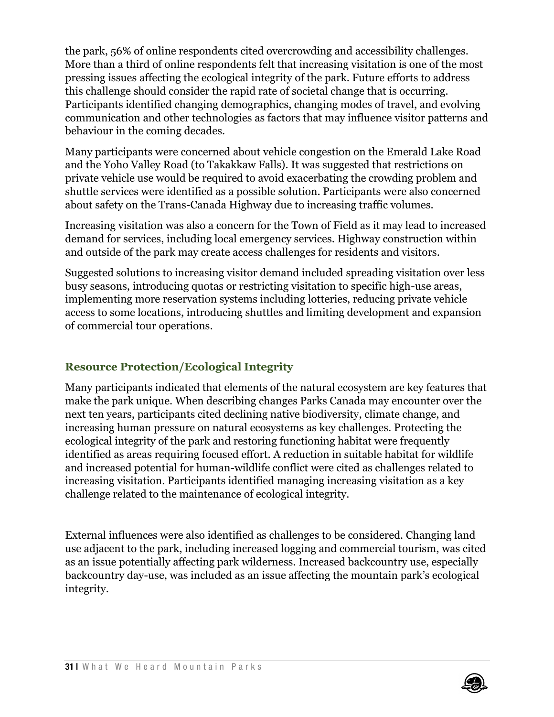the park, 56% of online respondents cited overcrowding and accessibility challenges. More than a third of online respondents felt that increasing visitation is one of the most pressing issues affecting the ecological integrity of the park. Future efforts to address this challenge should consider the rapid rate of societal change that is occurring. Participants identified changing demographics, changing modes of travel, and evolving communication and other technologies as factors that may influence visitor patterns and behaviour in the coming decades.

Many participants were concerned about vehicle congestion on the Emerald Lake Road and the Yoho Valley Road (to Takakkaw Falls). It was suggested that restrictions on private vehicle use would be required to avoid exacerbating the crowding problem and shuttle services were identified as a possible solution. Participants were also concerned about safety on the Trans-Canada Highway due to increasing traffic volumes.

Increasing visitation was also a concern for the Town of Field as it may lead to increased demand for services, including local emergency services. Highway construction within and outside of the park may create access challenges for residents and visitors.

Suggested solutions to increasing visitor demand included spreading visitation over less busy seasons, introducing quotas or restricting visitation to specific high-use areas, implementing more reservation systems including lotteries, reducing private vehicle access to some locations, introducing shuttles and limiting development and expansion of commercial tour operations.

# **Resource Protection/Ecological Integrity**

Many participants indicated that elements of the natural ecosystem are key features that make the park unique. When describing changes Parks Canada may encounter over the next ten years, participants cited declining native biodiversity, climate change, and increasing human pressure on natural ecosystems as key challenges. Protecting the ecological integrity of the park and restoring functioning habitat were frequently identified as areas requiring focused effort. A reduction in suitable habitat for wildlife and increased potential for human-wildlife conflict were cited as challenges related to increasing visitation. Participants identified managing increasing visitation as a key challenge related to the maintenance of ecological integrity.

External influences were also identified as challenges to be considered. Changing land use adjacent to the park, including increased logging and commercial tourism, was cited as an issue potentially affecting park wilderness. Increased backcountry use, especially backcountry day-use, was included as an issue affecting the mountain park's ecological integrity.

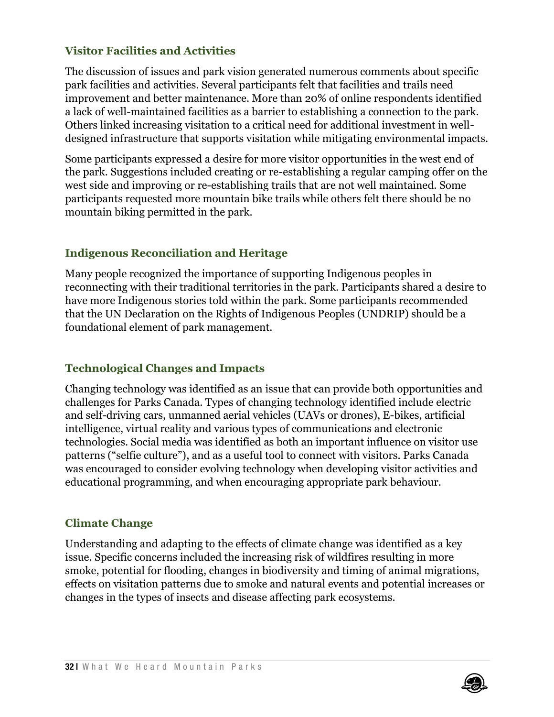#### **Visitor Facilities and Activities**

The discussion of issues and park vision generated numerous comments about specific park facilities and activities. Several participants felt that facilities and trails need improvement and better maintenance. More than 20% of online respondents identified a lack of well-maintained facilities as a barrier to establishing a connection to the park. Others linked increasing visitation to a critical need for additional investment in welldesigned infrastructure that supports visitation while mitigating environmental impacts.

Some participants expressed a desire for more visitor opportunities in the west end of the park. Suggestions included creating or re-establishing a regular camping offer on the west side and improving or re-establishing trails that are not well maintained. Some participants requested more mountain bike trails while others felt there should be no mountain biking permitted in the park.

# **Indigenous Reconciliation and Heritage**

Many people recognized the importance of supporting Indigenous peoples in reconnecting with their traditional territories in the park. Participants shared a desire to have more Indigenous stories told within the park. Some participants recommended that the UN Declaration on the Rights of Indigenous Peoples (UNDRIP) should be a foundational element of park management.

# **Technological Changes and Impacts**

Changing technology was identified as an issue that can provide both opportunities and challenges for Parks Canada. Types of changing technology identified include electric and self-driving cars, unmanned aerial vehicles (UAVs or drones), E-bikes, artificial intelligence, virtual reality and various types of communications and electronic technologies. Social media was identified as both an important influence on visitor use patterns ("selfie culture"), and as a useful tool to connect with visitors. Parks Canada was encouraged to consider evolving technology when developing visitor activities and educational programming, and when encouraging appropriate park behaviour.

# **Climate Change**

Understanding and adapting to the effects of climate change was identified as a key issue. Specific concerns included the increasing risk of wildfires resulting in more smoke, potential for flooding, changes in biodiversity and timing of animal migrations, effects on visitation patterns due to smoke and natural events and potential increases or changes in the types of insects and disease affecting park ecosystems.